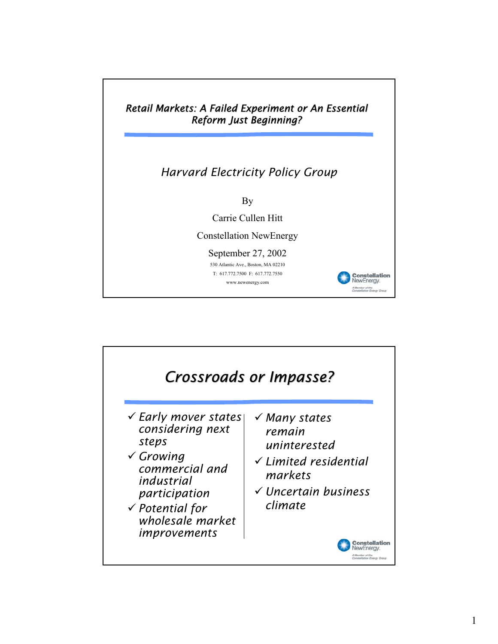

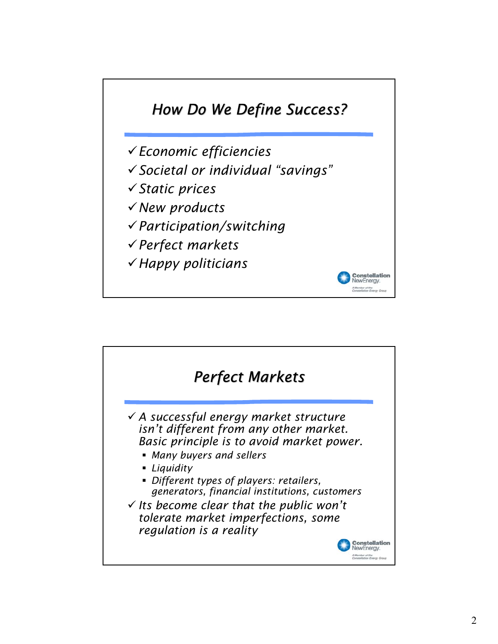

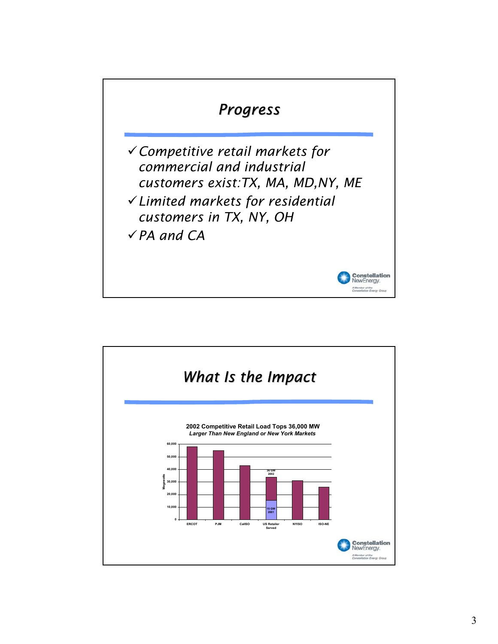

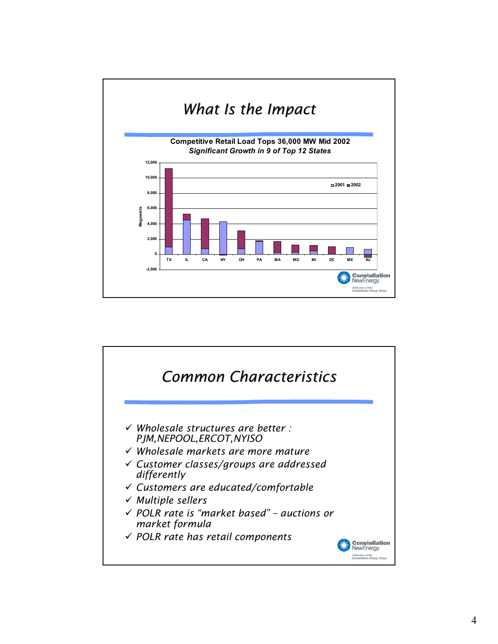